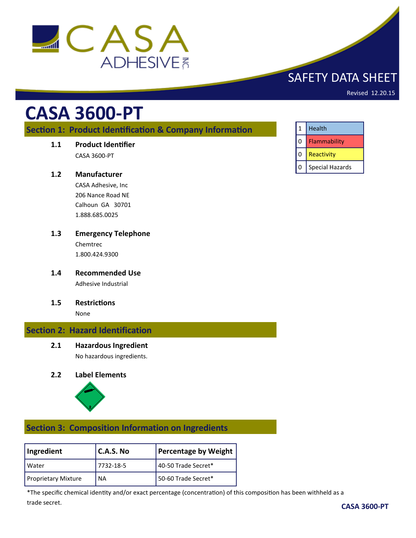

# SAFETY DATA SHEET

Revised 12.20.15

# **CASA 3600-PT**

## **Section 1: Product Identification & Company Information**

**1.1 Product Identifier**

CASA 3600-PT

#### **1.2 Manufacturer**

CASA Adhesive, Inc 206 Nance Road NE Calhoun GA 30701 1.888.685.0025

- **1.3 Emergency Telephone** Chemtrec 1.800.424.9300
- **1.4 Recommended Use** Adhesive Industrial
- **1.5 Restrictions**

None

## **Section 2: Hazard Identification**

**2.1 Hazardous Ingredient**

No hazardous ingredients.

#### **2.2 Label Elements**



## **Section 3: Composition Information on Ingredients**

| Ingredient                 | l C.A.S. No | Percentage by Weight |
|----------------------------|-------------|----------------------|
| Water                      | 7732-18-5   | 40-50 Trade Secret*  |
| <b>Proprietary Mixture</b> | <b>NA</b>   | 50-60 Trade Secret*  |

\*The specific chemical identity and/or exact percentage (concentration) of this composition has been withheld as a trade secret.

|   | Health          |
|---|-----------------|
| 0 | Flammability    |
| 0 | Reactivity      |
| 0 | Special Hazards |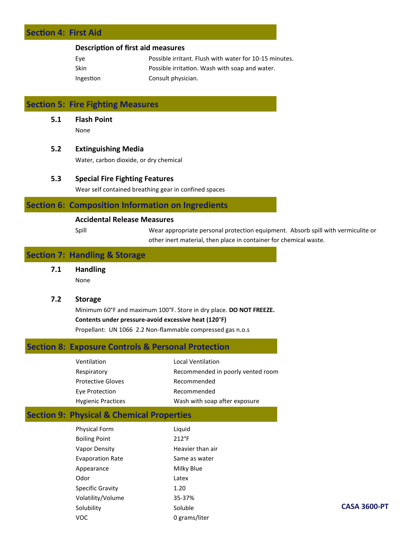## **Section 4: First Aid**

#### **Description of first aid measures**

| Eve       | Possible irritant. Flush with water for 10-15 minutes. |
|-----------|--------------------------------------------------------|
| Skin      | Possible irritation. Wash with soap and water.         |
| Ingestion | Consult physician.                                     |

## **Section 5: Fire Fighting Measures**

**5.1 Flash Point**

None

#### **5.2 Extinguishing Media**

Water, carbon dioxide, or dry chemical

#### **5.3 Special Fire Fighting Features**

Wear self contained breathing gear in confined spaces

#### **Section 6: Composition Information on Ingredients**

#### **Accidental Release Measures**

Spill Wear appropriate personal protection equipment. Absorb spill with vermiculite or other inert material, then place in container for chemical waste.

## **Section 7: Handling & Storage**

**7.1 Handling**

None

**7.2 Storage**

Minimum 60°F and maximum 100°F. Store in dry place. **DO NOT FREEZE. Contents under pressure-avoid excessive heat (120**°**F)** Propellant: UN 1066 2.2 Non-flammable compressed gas n.o.s

## **Section 8: Exposure Controls & Personal Protection**

| Ventilation               | Local Ventilation                 |
|---------------------------|-----------------------------------|
| Respiratory               | Recommended in poorly vented room |
| <b>Protective Gloves</b>  | Recommended                       |
| Eye Protection            | Recommended                       |
| <b>Hygienic Practices</b> | Wash with soap after exposure     |

## **Section 9: Physical & Chemical Properties**

| <b>Physical Form</b>    | Liquid           |
|-------------------------|------------------|
| <b>Boiling Point</b>    | $212^{\circ}F$   |
| Vapor Density           | Heavier than air |
| <b>Evaporation Rate</b> | Same as water    |
| Appearance              | Milky Blue       |
| Odor                    | Latex            |
| Specific Gravity        | 1.20             |
| Volatility/Volume       | 35-37%           |
| Solubility              | Soluble          |
| voc                     | 0 grams/liter    |